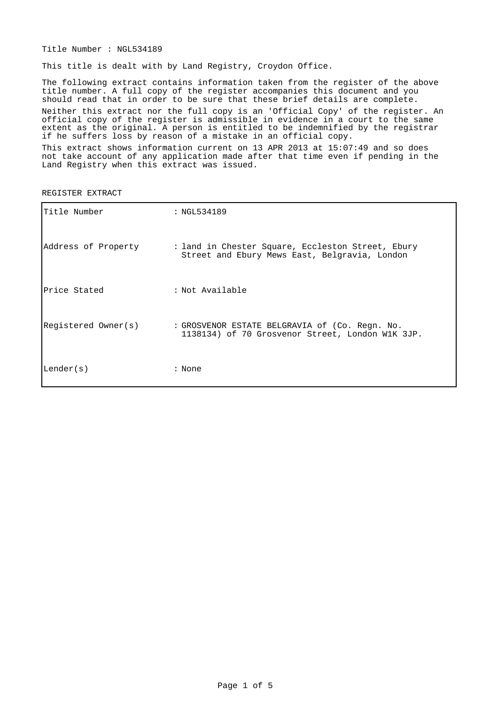Title Number : NGL534189

This title is dealt with by Land Registry, Croydon Office.

The following extract contains information taken from the register of the above title number. A full copy of the register accompanies this document and you should read that in order to be sure that these brief details are complete. Neither this extract nor the full copy is an 'Official Copy' of the register. An official copy of the register is admissible in evidence in a court to the same extent as the original. A person is entitled to be indemnified by the registrar if he suffers loss by reason of a mistake in an official copy.

This extract shows information current on 13 APR 2013 at 15:07:49 and so does not take account of any application made after that time even if pending in the Land Registry when this extract was issued.

| Title Number        | : NGL534189                                                                                        |
|---------------------|----------------------------------------------------------------------------------------------------|
| Address of Property | : land in Chester Square, Eccleston Street, Ebury<br>Street and Ebury Mews East, Belgravia, London |
| Price Stated        | : Not Available                                                                                    |
| Registered Owner(s) | : GROSVENOR ESTATE BELGRAVIA of (Co. Regn. No.<br>1138134) of 70 Grosvenor Street, London W1K 3JP. |
| Lender(s)           | : None                                                                                             |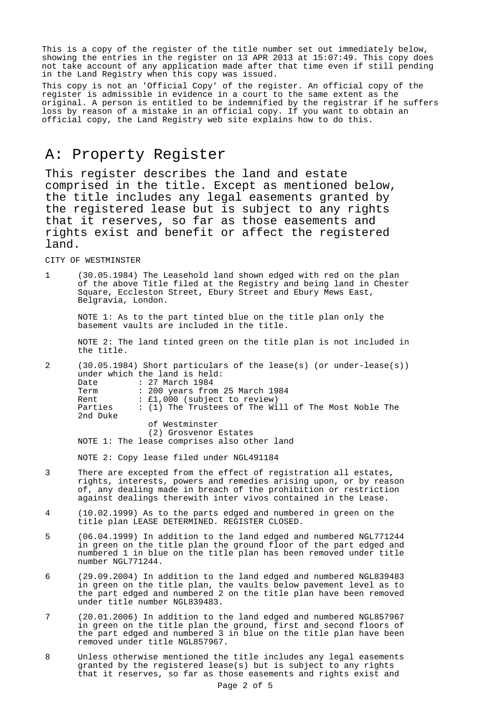This is a copy of the register of the title number set out immediately below, showing the entries in the register on 13 APR 2013 at 15:07:49. This copy does not take account of any application made after that time even if still pending in the Land Registry when this copy was issued.

This copy is not an 'Official Copy' of the register. An official copy of the register is admissible in evidence in a court to the same extent as the original. A person is entitled to be indemnified by the registrar if he suffers loss by reason of a mistake in an official copy. If you want to obtain an official copy, the Land Registry web site explains how to do this.

#### A: Property Register

This register describes the land and estate comprised in the title. Except as mentioned below, the title includes any legal easements granted by the registered lease but is subject to any rights that it reserves, so far as those easements and rights exist and benefit or affect the registered land.

CITY OF WESTMINSTER

1 (30.05.1984) The Leasehold land shown edged with red on the plan of the above Title filed at the Registry and being land in Chester Square, Eccleston Street, Ebury Street and Ebury Mews East, Belgravia, London.

NOTE 1: As to the part tinted blue on the title plan only the basement vaults are included in the title.

NOTE 2: The land tinted green on the title plan is not included in the title.

2 (30.05.1984) Short particulars of the lease(s) (or under-lease(s)) under which the land is held: Date : 27 March 1984 Term : 200 years from 25 March 1984<br>Rent : £1,000 (subject to review) :  $£1,000$  (subject to review) Parties : (1) The Trustees of The Will of The Most Noble The 2nd Duke of Westminster (2) Grosvenor Estates NOTE 1: The lease comprises also other land

NOTE 2: Copy lease filed under NGL491184

- 3 There are excepted from the effect of registration all estates, rights, interests, powers and remedies arising upon, or by reason of, any dealing made in breach of the prohibition or restriction against dealings therewith inter vivos contained in the Lease.
- 4 (10.02.1999) As to the parts edged and numbered in green on the title plan LEASE DETERMINED. REGISTER CLOSED.
- 5 (06.04.1999) In addition to the land edged and numbered NGL771244 in green on the title plan the ground floor of the part edged and numbered 1 in blue on the title plan has been removed under title number NGL771244.
- 6 (29.09.2004) In addition to the land edged and numbered NGL839483 in green on the title plan, the vaults below pavement level as to the part edged and numbered 2 on the title plan have been removed under title number NGL839483.
- 7 (20.01.2006) In addition to the land edged and numbered NGL857967 in green on the title plan the ground, first and second floors of the part edged and numbered 3 in blue on the title plan have been removed under title NGL857967.
- 8 Unless otherwise mentioned the title includes any legal easements granted by the registered lease(s) but is subject to any rights that it reserves, so far as those easements and rights exist and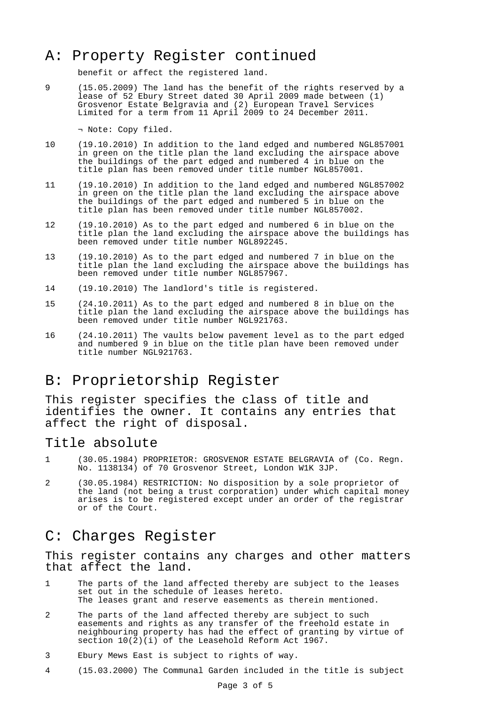## A: Property Register continued

benefit or affect the registered land.

9 (15.05.2009) The land has the benefit of the rights reserved by a lease of 52 Ebury Street dated 30 April 2009 made between (1) Grosvenor Estate Belgravia and (2) European Travel Services Limited for a term from 11 April 2009 to 24 December 2011.

¬ Note: Copy filed.

- 10 (19.10.2010) In addition to the land edged and numbered NGL857001 in green on the title plan the land excluding the airspace above the buildings of the part edged and numbered 4 in blue on the title plan has been removed under title number NGL857001.
- 11 (19.10.2010) In addition to the land edged and numbered NGL857002 in green on the title plan the land excluding the airspace above the buildings of the part edged and numbered 5 in blue on the title plan has been removed under title number NGL857002.
- 12 (19.10.2010) As to the part edged and numbered 6 in blue on the title plan the land excluding the airspace above the buildings has been removed under title number NGL892245.
- 13 (19.10.2010) As to the part edged and numbered 7 in blue on the title plan the land excluding the airspace above the buildings has been removed under title number NGL857967.
- 14 (19.10.2010) The landlord's title is registered.
- 15 (24.10.2011) As to the part edged and numbered 8 in blue on the title plan the land excluding the airspace above the buildings has been removed under title number NGL921763.
- 16 (24.10.2011) The vaults below pavement level as to the part edged and numbered 9 in blue on the title plan have been removed under title number NGL921763.

#### B: Proprietorship Register

This register specifies the class of title and identifies the owner. It contains any entries that affect the right of disposal.

#### Title absolute

- 1 (30.05.1984) PROPRIETOR: GROSVENOR ESTATE BELGRAVIA of (Co. Regn. No. 1138134) of 70 Grosvenor Street, London W1K 3JP.
- 2 (30.05.1984) RESTRICTION: No disposition by a sole proprietor of the land (not being a trust corporation) under which capital money arises is to be registered except under an order of the registrar or of the Court.

#### C: Charges Register

This register contains any charges and other matters that affect the land.

- 1 The parts of the land affected thereby are subject to the leases set out in the schedule of leases hereto. The leases grant and reserve easements as therein mentioned.
- 2 The parts of the land affected thereby are subject to such easements and rights as any transfer of the freehold estate in neighbouring property has had the effect of granting by virtue of section  $10(2)(i)$  of the Leasehold Reform Act 1967.
- 3 Ebury Mews East is subject to rights of way.
- 4 (15.03.2000) The Communal Garden included in the title is subject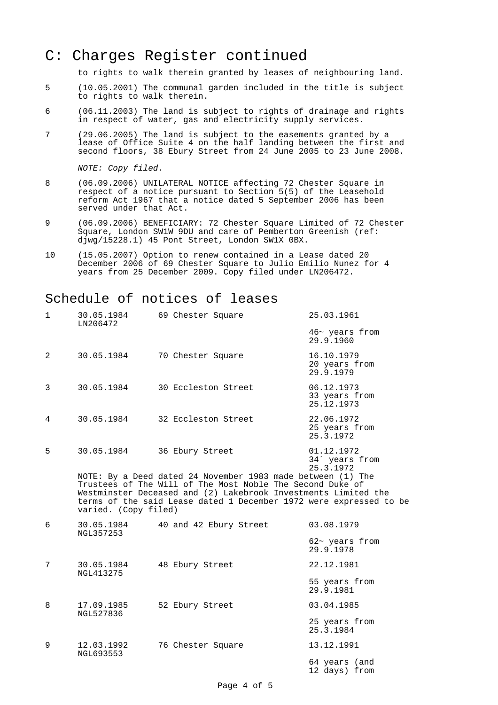### C: Charges Register continued

to rights to walk therein granted by leases of neighbouring land.

- 5 (10.05.2001) The communal garden included in the title is subject to rights to walk therein.
- 6 (06.11.2003) The land is subject to rights of drainage and rights in respect of water, gas and electricity supply services.
- 7 (29.06.2005) The land is subject to the easements granted by a lease of Office Suite 4 on the half landing between the first and second floors, 38 Ebury Street from 24 June 2005 to 23 June 2008.

NOTE: Copy filed.

- 8 (06.09.2006) UNILATERAL NOTICE affecting 72 Chester Square in respect of a notice pursuant to Section 5(5) of the Leasehold reform Act 1967 that a notice dated 5 September 2006 has been served under that Act.
- 9 (06.09.2006) BENEFICIARY: 72 Chester Square Limited of 72 Chester Square, London SW1W 9DU and care of Pemberton Greenish (ref: djwg/15228.1) 45 Pont Street, London SW1X 0BX.
- 10 (15.05.2007) Option to renew contained in a Lease dated 20 December 2006 of 69 Chester Square to Julio Emilio Nunez for 4 years from 25 December 2009. Copy filed under LN206472.

#### Schedule of notices of leases

| $\mathbf{1}$ | 30.05.1984<br>LN206472                                                                                                                                                                                                                                                                   | 69 Chester Square      | 25.03.1961                                            |  |  |  |  |
|--------------|------------------------------------------------------------------------------------------------------------------------------------------------------------------------------------------------------------------------------------------------------------------------------------------|------------------------|-------------------------------------------------------|--|--|--|--|
|              |                                                                                                                                                                                                                                                                                          |                        | 46~ years from<br>29.9.1960                           |  |  |  |  |
| 2            | 30.05.1984                                                                                                                                                                                                                                                                               | 70 Chester Square      | 16.10.1979<br>20 years from<br>29.9.1979              |  |  |  |  |
| 3            | 30.05.1984                                                                                                                                                                                                                                                                               | 30 Eccleston Street    | 06.12.1973<br>33 years from<br>25.12.1973             |  |  |  |  |
| 4            | 30.05.1984                                                                                                                                                                                                                                                                               | 32 Eccleston Street    | 22.06.1972<br>25 years from<br>25.3.1972              |  |  |  |  |
| 5            | 30.05.1984                                                                                                                                                                                                                                                                               | 36 Ebury Street        | 01.12.1972<br>34 <sup>'</sup> years from<br>25.3.1972 |  |  |  |  |
|              | NOTE: By a Deed dated 24 November 1983 made between (1) The<br>Trustees of The Will of The Most Noble The Second Duke of<br>Westminster Deceased and (2) Lakebrook Investments Limited the<br>terms of the said Lease dated 1 December 1972 were expressed to be<br>varied. (Copy filed) |                        |                                                       |  |  |  |  |
| 6            | 30.05.1984<br><b>NGL357253</b>                                                                                                                                                                                                                                                           | 40 and 42 Ebury Street | 03.08.1979                                            |  |  |  |  |
|              |                                                                                                                                                                                                                                                                                          |                        | 62~ years from<br>29.9.1978                           |  |  |  |  |
| 7            | 30.05.1984<br>NGL413275                                                                                                                                                                                                                                                                  | 48 Ebury Street        | 22.12.1981                                            |  |  |  |  |
|              |                                                                                                                                                                                                                                                                                          |                        | 55 years from<br>29.9.1981                            |  |  |  |  |
| 8            | 17.09.1985<br>NGL527836                                                                                                                                                                                                                                                                  | 52 Ebury Street        | 03.04.1985                                            |  |  |  |  |
|              |                                                                                                                                                                                                                                                                                          |                        | 25 years from<br>25.3.1984                            |  |  |  |  |
| 9            | 12.03.1992<br>NGL693553                                                                                                                                                                                                                                                                  | 76 Chester Square      | 13.12.1991                                            |  |  |  |  |
|              |                                                                                                                                                                                                                                                                                          |                        | 64 years (and<br>12 days) from                        |  |  |  |  |